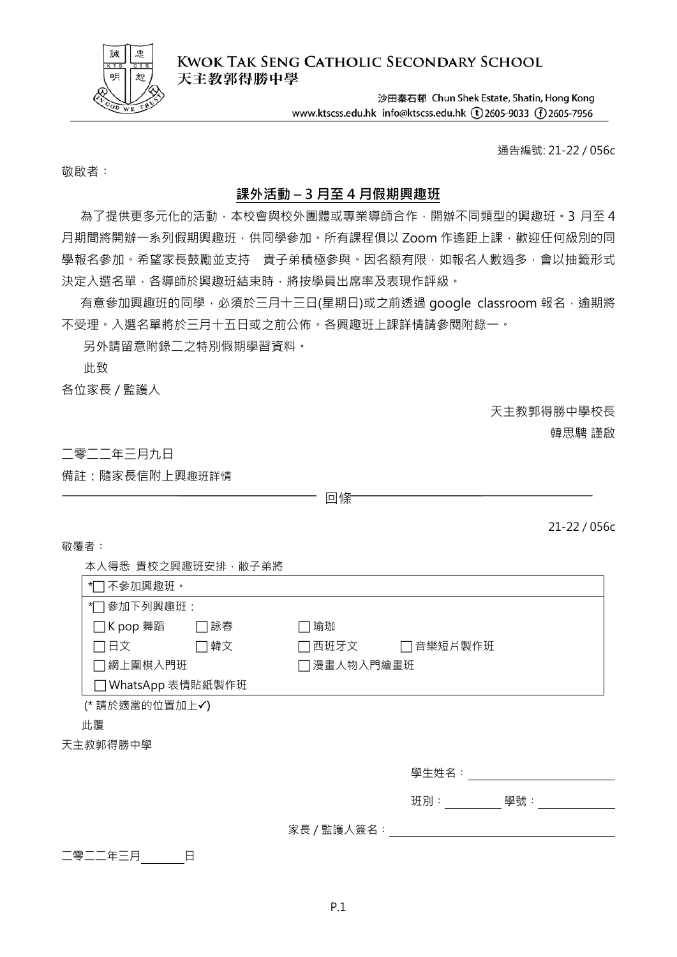

**KWOK TAK SENG CATHOLIC SECONDARY SCHOOL** 天主教郭得勝中學

> 沙田秦石邨 Chun Shek Estate, Shatin, Hong Kong www.ktscss.edu.hk info@ktscss.edu.hk (t)2605-9033 (f)2605-7956

> > 通告編號: 21-22 / 056c

敬啟者:

### **課外活動 – 3 月至 4 月假期興趣班**

為了提供更多元化的活動,本校會與校外團體或專業導師合作,開辦不同類型的興趣班。3月至4 月期間將開辦一系列假期興趣班,供同學參加。所有課程俱以 Zoom 作遙距上課,歡迎任何級別的同 學報名參加。希望家長鼓勵並支持 貴子弟積極參與。因名額有限,如報名人數過多,會以抽籤形式 決定入選名單,各導師於興趣班結束時,將按學員出席率及表現作評級。

有意參加興趣班的同學,必須於三月十三日(星期日)或之前透過 google classroom 報名,逾期將 不受理。入選名單將於三月十五日或之前公佈。各興趣班上課詳情請參閱附錄一。

另外請留意附錄二之特別假期學習資料。

此致

各位家長 / 監護人

天主教郭得勝中學校長

韓思騁 謹啟

二零二二年三月九日

備註:隨家長信附上興趣班詳情

回條

21-22 / 056c

敬覆者:

本人得悉 貴校之興趣班安排,敝子弟將

| 不參加興趣班。<br>*∣                      |                 |  |  |  |
|------------------------------------|-----------------|--|--|--|
| *门参加下列興趣班:                         |                 |  |  |  |
| □K pop 舞蹈<br> 詠春                   | 瑜珈              |  |  |  |
| コ日文<br>□韓文                         | 音樂短片製作班<br>西班牙文 |  |  |  |
| □網上圍棋入門班                           | 7 漫畫人物入門繪畫班     |  |  |  |
| WhatsApp 表情貼紙製作班<br>$\blacksquare$ |                 |  |  |  |
| (* 請於適當的位置加上√)                     |                 |  |  |  |
| 此覆                                 |                 |  |  |  |
| 天主教郭得勝中學                           |                 |  |  |  |
|                                    | 學生姓名:           |  |  |  |
|                                    | 學號:<br>班別:      |  |  |  |
|                                    | 家長 / 監護人簽名:     |  |  |  |

二零二二年三月\_\_\_\_\_\_\_\_日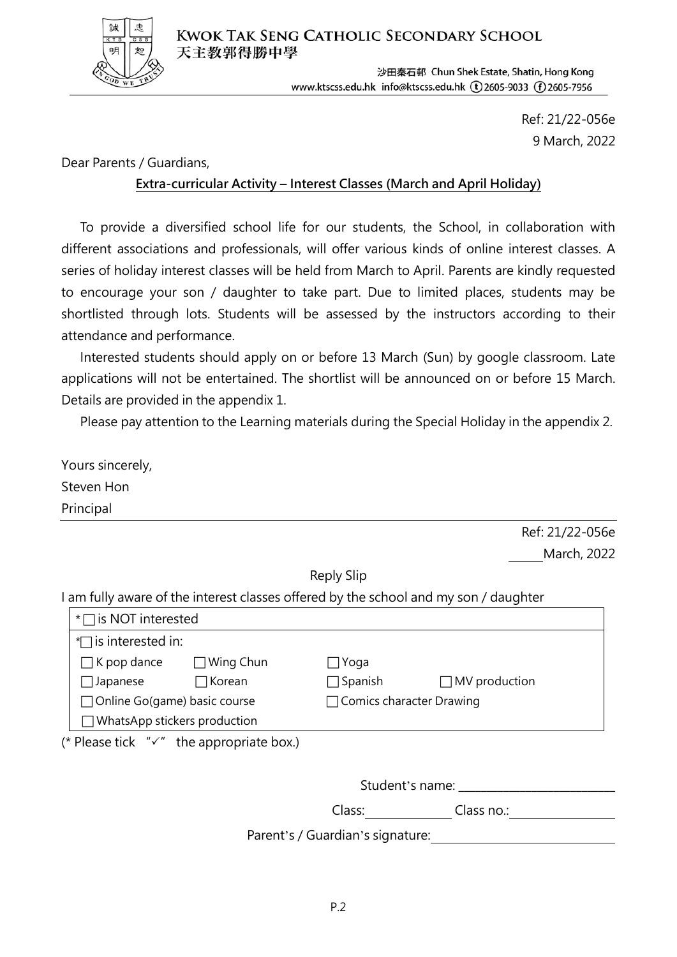

沙田秦石邨 Chun Shek Estate, Shatin, Hong Kong www.ktscss.edu.hk info@ktscss.edu.hk (t)2605-9033 (f)2605-7956

> Ref: 21/22-056e 9 March, 2022

Dear Parents / Guardians,

### **Extra-curricular Activity – Interest Classes (March and April Holiday)**

 To provide a diversified school life for our students, the School, in collaboration with different associations and professionals, will offer various kinds of online interest classes. A series of holiday interest classes will be held from March to April. Parents are kindly requested to encourage your son / daughter to take part. Due to limited places, students may be shortlisted through lots. Students will be assessed by the instructors according to their attendance and performance.

 Interested students should apply on or before 13 March (Sun) by google classroom. Late applications will not be entertained. The shortlist will be announced on or before 15 March. Details are provided in the appendix 1.

Please pay attention to the Learning materials during the Special Holiday in the appendix 2.

| Yours sincerely,                                                                     |                                  |                      |  |  |  |
|--------------------------------------------------------------------------------------|----------------------------------|----------------------|--|--|--|
| Steven Hon                                                                           |                                  |                      |  |  |  |
| Principal                                                                            |                                  |                      |  |  |  |
|                                                                                      |                                  | Ref: 21/22-056e      |  |  |  |
|                                                                                      |                                  | March, 2022          |  |  |  |
|                                                                                      | Reply Slip                       |                      |  |  |  |
| I am fully aware of the interest classes offered by the school and my son / daughter |                                  |                      |  |  |  |
| $*$ is NOT interested                                                                |                                  |                      |  |  |  |
| $\sim$ is interested in:                                                             |                                  |                      |  |  |  |
| $K$ pop dance $\Box$ Wing Chun                                                       | _roga                            |                      |  |  |  |
| $\Box$ Korean<br>$\Box$ Japanese                                                     | $\Box$ Spanish                   | $\Box$ MV production |  |  |  |
| □ Online Go(game) basic course                                                       | □ Comics character Drawing       |                      |  |  |  |
| WhatsApp stickers production                                                         |                                  |                      |  |  |  |
| (* Please tick $''\checkmark''$ the appropriate box.)                                |                                  |                      |  |  |  |
|                                                                                      |                                  |                      |  |  |  |
| Student's name: Student's name:                                                      |                                  |                      |  |  |  |
|                                                                                      | Class:                           | Class no.:           |  |  |  |
|                                                                                      | Parent's / Guardian's signature: |                      |  |  |  |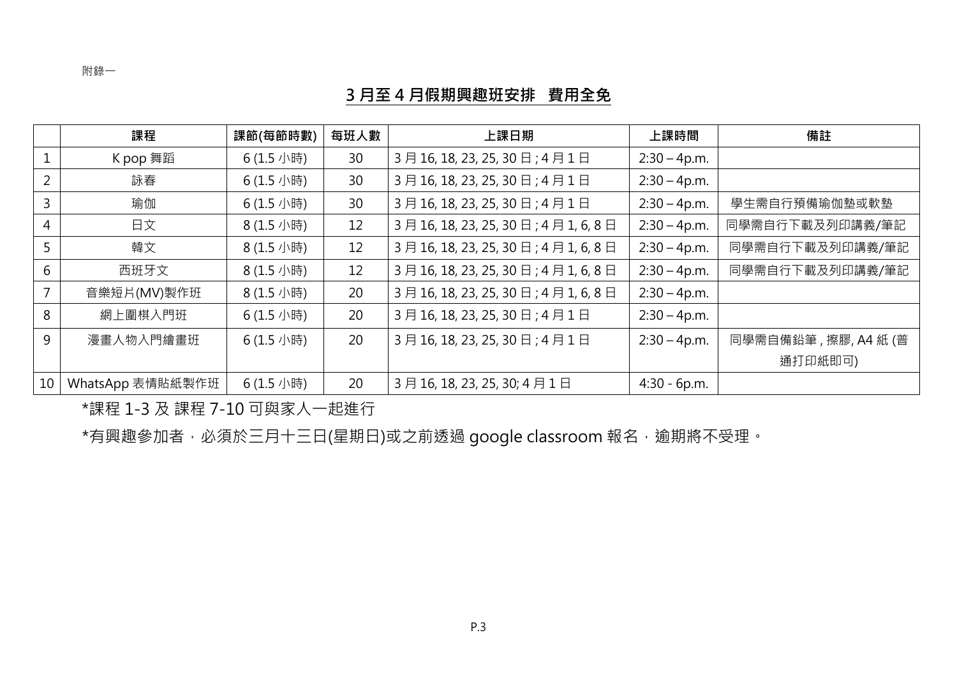附錄一

### **月至 4 月假期興趣班安排 費用全免**

|                | 課程               | 課節(每節時數)  | 每班人數 | 上課日期                              | 上課時間           | 備註                  |
|----------------|------------------|-----------|------|-----------------------------------|----------------|---------------------|
|                | K pop 舞蹈         | 6(1.5 小時) | 30   | 3月16,18,23,25,30日;4月1日            | $2:30 - 4p.m.$ |                     |
| $\overline{2}$ | 詠春               | 6(1.5 小時) | 30   | 3月16,18,23,25,30日;4月1日            | $2:30 - 4p.m.$ |                     |
| 3              | 瑜伽               | 6(1.5 小時) | 30   | 3月16, 18, 23, 25, 30日; 4月1日       | $2:30 - 4p.m.$ | 學生需自行預備瑜伽墊或軟墊       |
| 4              | 日文               | 8(1.5 小時) | 12   | 3月16, 18, 23, 25, 30日; 4月1, 6, 8日 | $2:30 - 4p.m.$ | 同學需自行下載及列印講義/筆記     |
| 5              | 韓文               | 8(1.5 小時) | 12   | 3月16, 18, 23, 25, 30日; 4月1, 6, 8日 | $2:30 - 4p.m.$ | 同學需自行下載及列印講義/筆記     |
| 6              | 西班牙文             | 8(1.5 小時) | 12   | 3月16, 18, 23, 25, 30日; 4月1, 6, 8日 | $2:30 - 4p.m.$ | 同學需自行下載及列印講義/筆記     |
|                | 音樂短片(MV)製作班      | 8(1.5 小時) | 20   | 3月16, 18, 23, 25, 30日; 4月1, 6, 8日 | $2:30 - 4p.m.$ |                     |
| 8              | 網上圍棋入門班          | 6(1.5 小時) | 20   | 3月16, 18, 23, 25, 30日; 4月1日       | $2:30 - 4p.m.$ |                     |
| 9              | 漫畫人物入門繪畫班        | 6(1.5 小時) | 20   | 3月16,18,23,25,30日;4月1日            | $2:30 - 4p.m.$ | 同學需自備鉛筆,擦膠, A4 紙 (普 |
|                |                  |           |      |                                   |                | 通打印紙即可)             |
| 10             | WhatsApp 表情貼紙製作班 | 6(1.5 小時) | 20   | 3月16, 18, 23, 25, 30; 4月1日        | $4:30 - 6p.m.$ |                     |

\*課程 1-3 及 課程 7-10 可與家人一起進行

 $^{\star}$ 有興趣參加者,必須於三月十三日(星期日)或之前透過 google classroom 報名,逾期將不受理。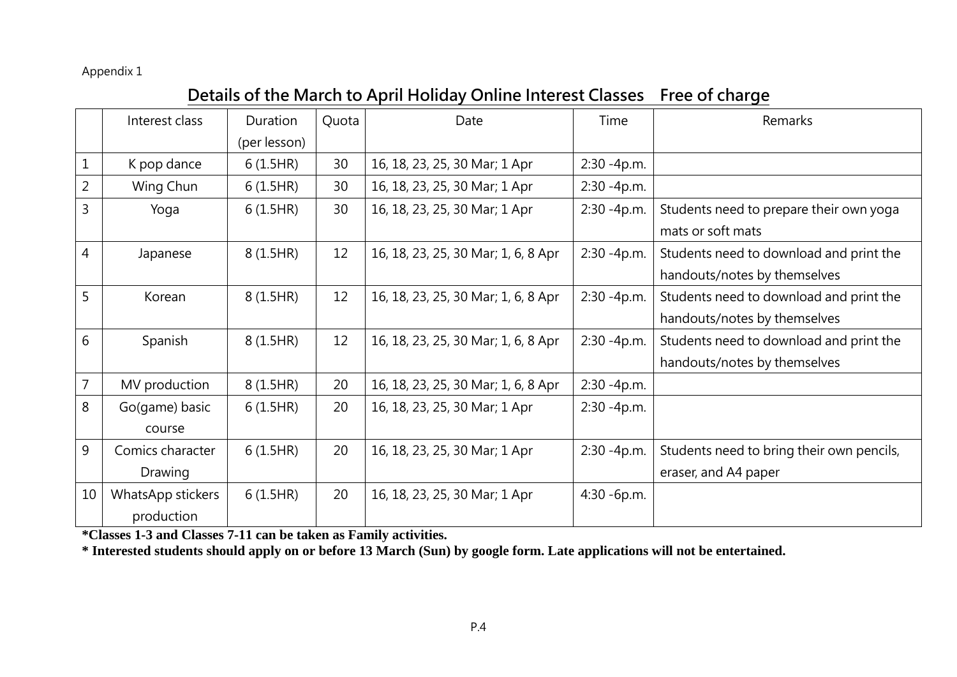#### Appendix 1

# **Details of the March to April Holiday Online Interest Classes Free of charge**

|                | Interest class    | Duration     | Quota | Date                                | Time           | Remarks                                   |
|----------------|-------------------|--------------|-------|-------------------------------------|----------------|-------------------------------------------|
|                |                   | (per lesson) |       |                                     |                |                                           |
|                | K pop dance       | 6(1.5HR)     | 30    | 16, 18, 23, 25, 30 Mar; 1 Apr       | 2:30 -4p.m.    |                                           |
| $\overline{2}$ | Wing Chun         | 6(1.5HR)     | 30    | 16, 18, 23, 25, 30 Mar; 1 Apr       | $2:30 - 4p.m.$ |                                           |
| 3              | Yoga              | 6(1.5HR)     | 30    | 16, 18, 23, 25, 30 Mar; 1 Apr       | $2:30 - 4p.m.$ | Students need to prepare their own yoga   |
|                |                   |              |       |                                     |                | mats or soft mats                         |
| 4              | Japanese          | 8 (1.5HR)    | 12    | 16, 18, 23, 25, 30 Mar; 1, 6, 8 Apr | 2:30 -4p.m.    | Students need to download and print the   |
|                |                   |              |       |                                     |                | handouts/notes by themselves              |
| 5              | Korean            | 8 (1.5HR)    | 12    | 16, 18, 23, 25, 30 Mar; 1, 6, 8 Apr | 2:30 -4p.m.    | Students need to download and print the   |
|                |                   |              |       |                                     |                | handouts/notes by themselves              |
| 6              | Spanish           | 8(1.5HR)     | 12    | 16, 18, 23, 25, 30 Mar; 1, 6, 8 Apr | 2:30 -4p.m.    | Students need to download and print the   |
|                |                   |              |       |                                     |                | handouts/notes by themselves              |
| 7              | MV production     | 8 (1.5HR)    | 20    | 16, 18, 23, 25, 30 Mar; 1, 6, 8 Apr | $2:30 - 4p.m.$ |                                           |
| 8              | Go(game) basic    | 6(1.5HR)     | 20    | 16, 18, 23, 25, 30 Mar; 1 Apr       | 2:30 -4p.m.    |                                           |
|                | course            |              |       |                                     |                |                                           |
| 9              | Comics character  | 6(1.5HR)     | 20    | 16, 18, 23, 25, 30 Mar; 1 Apr       | 2:30 -4p.m.    | Students need to bring their own pencils, |
|                | Drawing           |              |       |                                     |                | eraser, and A4 paper                      |
| 10             | WhatsApp stickers | 6(1.5HR)     | 20    | 16, 18, 23, 25, 30 Mar; 1 Apr       | 4:30 -6p.m.    |                                           |
|                | production        |              |       |                                     |                |                                           |

**\*Classes 1-3 and Classes 7-11 can be taken as Family activities.**

**\* Interested students should apply on or before 13 March (Sun) by google form. Late applications will not be entertained.**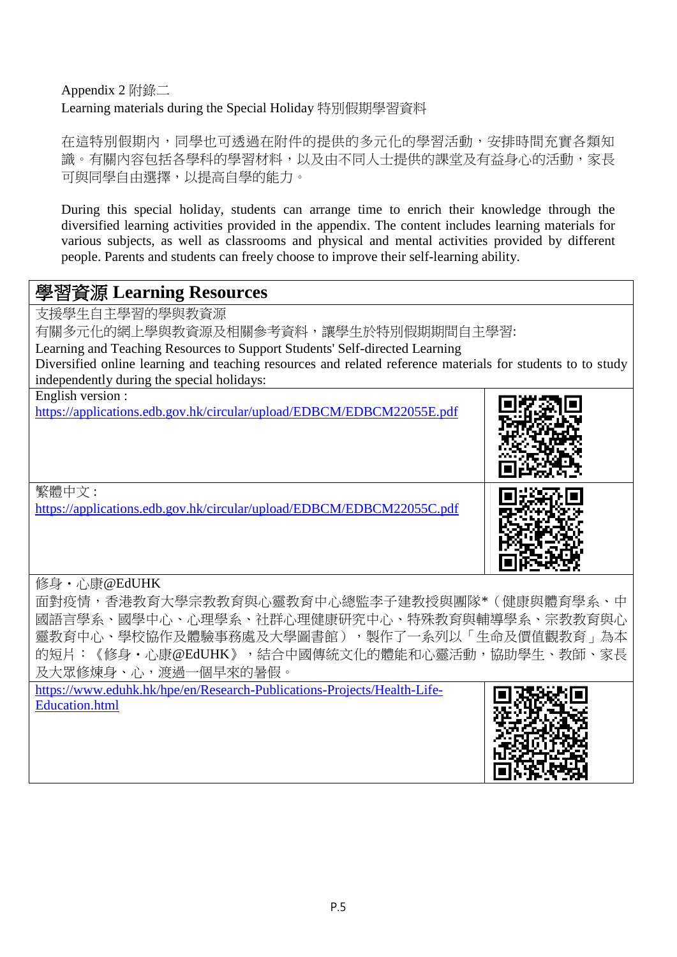### Appendix 2 附錄二 Learning materials during the Special Holiday 特別假期學習資料

在這特別假期內,同學也可透過在附件的提供的多元化的學習活動,安排時間充實各類知 識。有關內容包括各學科的學習材料,以及由不同人士提供的課堂及有益身心的活動,家長 可與同學自由選擇,以提高自學的能力。

During this special holiday, students can arrange time to enrich their knowledge through the diversified learning activities provided in the appendix. The content includes learning materials for various subjects, as well as classrooms and physical and mental activities provided by different people. Parents and students can freely choose to improve their self-learning ability.

## 學習資源 **Learning Resources**

支援學生自主學習的學與教資源 有關多元化的網上學與教資源及相關參考資料,讓學生於特別假期期間自主學習: Learning and Teaching Resources to Support Students' Self-directed Learning Diversified online learning and teaching resources and related reference materials for students to to study independently during the special holidays:

| English version :<br>https://applications.edb.gov.hk/circular/upload/EDBCM/EDBCM22055E.pdf |  |
|--------------------------------------------------------------------------------------------|--|
| 繁體中文:<br>https://applications.edb.gov.hk/circular/upload/EDBCM/EDBCM22055C.pdf             |  |

### 修身・心康@EdUHK

面對疫情,香港教育大學宗教教育與心靈教育中心總監李子建教授與團隊\*(健康與體育學系、中 國語言學系、國學中心、心理學系、社群心理健康研究中心、特殊教育與輔導學系、宗教教育與心 靈教育中心、學校協作及體驗事務處及大學圖書館),製作了一系列以「生命及價值觀教育」為本 的短片:《修身·心康@EdUHK》,結合中國傳統文化的體能和心靈活動,協助學生、教師、家長 及大眾修煉身、心,渡過一個早來的暑假。

[https://www.eduhk.hk/hpe/en/Research-Publications-Projects/Health-Life-](https://www.eduhk.hk/hpe/en/Research-Publications-Projects/Health-Life-Education.html)[Education.html](https://www.eduhk.hk/hpe/en/Research-Publications-Projects/Health-Life-Education.html)